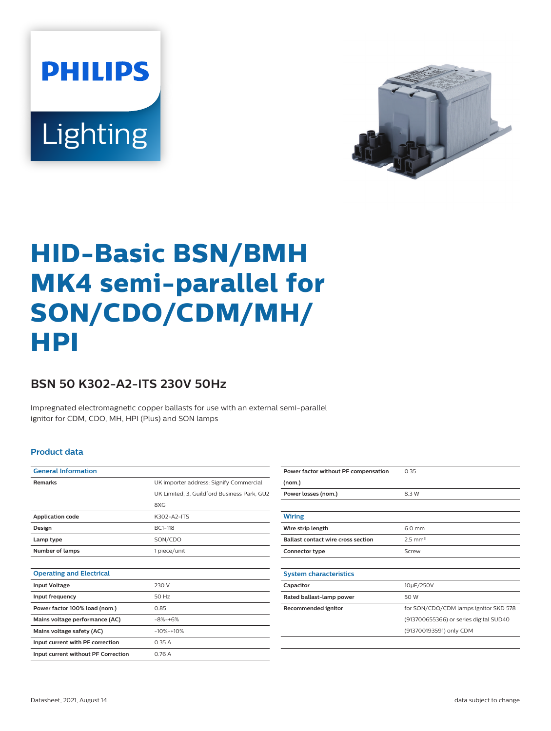**PHILIPS** Lighting



# **HID-Basic BSN/BMH MK4 semi-parallel for SON/CDO/CDM/MH/ HPI**

## **BSN 50 K302-A2-ITS 230V 50Hz**

Impregnated electromagnetic copper ballasts for use with an external semi-parallel ignitor for CDM, CDO, MH, HPI (Plus) and SON lamps

### **Product data**

| <b>General Information</b>          |                                             |  |  |  |  |
|-------------------------------------|---------------------------------------------|--|--|--|--|
| <b>Remarks</b>                      | UK importer address: Signify Commercial     |  |  |  |  |
|                                     | UK Limited, 3, Guildford Business Park, GU2 |  |  |  |  |
|                                     | 8XG                                         |  |  |  |  |
| <b>Application code</b>             | K302-A2-ITS                                 |  |  |  |  |
| Design                              | BC1-118                                     |  |  |  |  |
| Lamp type                           | SON/CDO                                     |  |  |  |  |
| Number of lamps                     | 1 piece/unit                                |  |  |  |  |
|                                     |                                             |  |  |  |  |
| <b>Operating and Electrical</b>     |                                             |  |  |  |  |
| <b>Input Voltage</b>                | 230 V                                       |  |  |  |  |
| Input frequency                     | 50 Hz                                       |  |  |  |  |
| Power factor 100% load (nom.)       | 0.85                                        |  |  |  |  |
| Mains voltage performance (AC)      | $-8% -+6%$                                  |  |  |  |  |
| Mains voltage safety (AC)           | $-10% -10%$                                 |  |  |  |  |
| Input current with PF correction    | 0.35A                                       |  |  |  |  |
| Input current without PF Correction | 0.76A                                       |  |  |  |  |
|                                     |                                             |  |  |  |  |

| Power factor without PF compensation      | 0.35                                   |  |  |  |  |
|-------------------------------------------|----------------------------------------|--|--|--|--|
| (nom.)                                    |                                        |  |  |  |  |
| Power losses (nom.)                       | 8.3 W                                  |  |  |  |  |
|                                           |                                        |  |  |  |  |
| Wiring                                    |                                        |  |  |  |  |
| Wire strip length                         | 6.0 mm                                 |  |  |  |  |
| <b>Ballast contact wire cross section</b> | $2.5$ mm <sup>2</sup>                  |  |  |  |  |
| Connector type                            | Screw                                  |  |  |  |  |
|                                           |                                        |  |  |  |  |
| <b>System characteristics</b>             |                                        |  |  |  |  |
| Capacitor                                 | 10µF/250V                              |  |  |  |  |
| Rated ballast-lamp power                  | 50 W                                   |  |  |  |  |
| Recommended ignitor                       | for SON/CDO/CDM lamps ignitor SKD 578  |  |  |  |  |
|                                           | (913700655366) or series digital SUD40 |  |  |  |  |
|                                           | (913700193591) only CDM                |  |  |  |  |
|                                           |                                        |  |  |  |  |